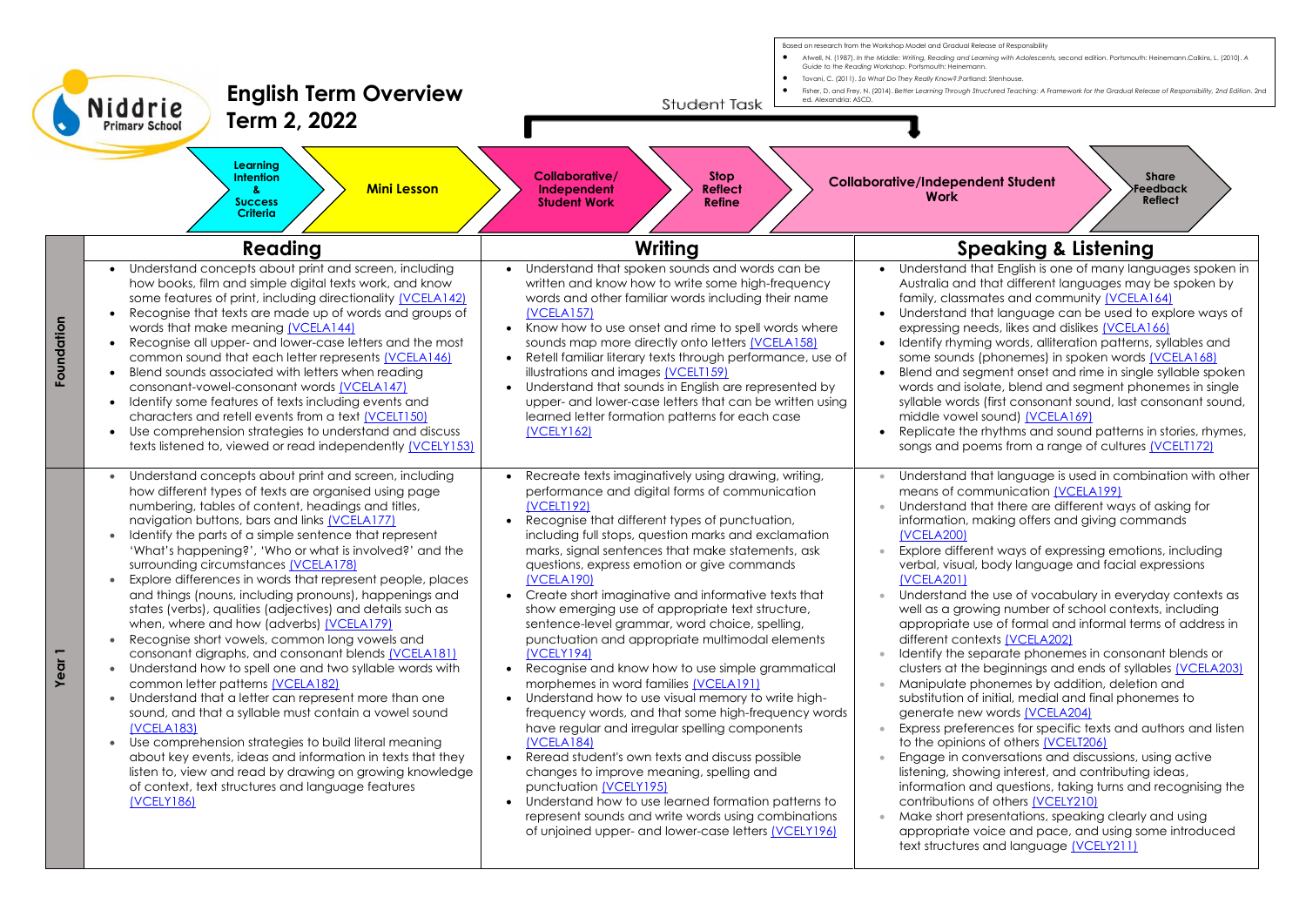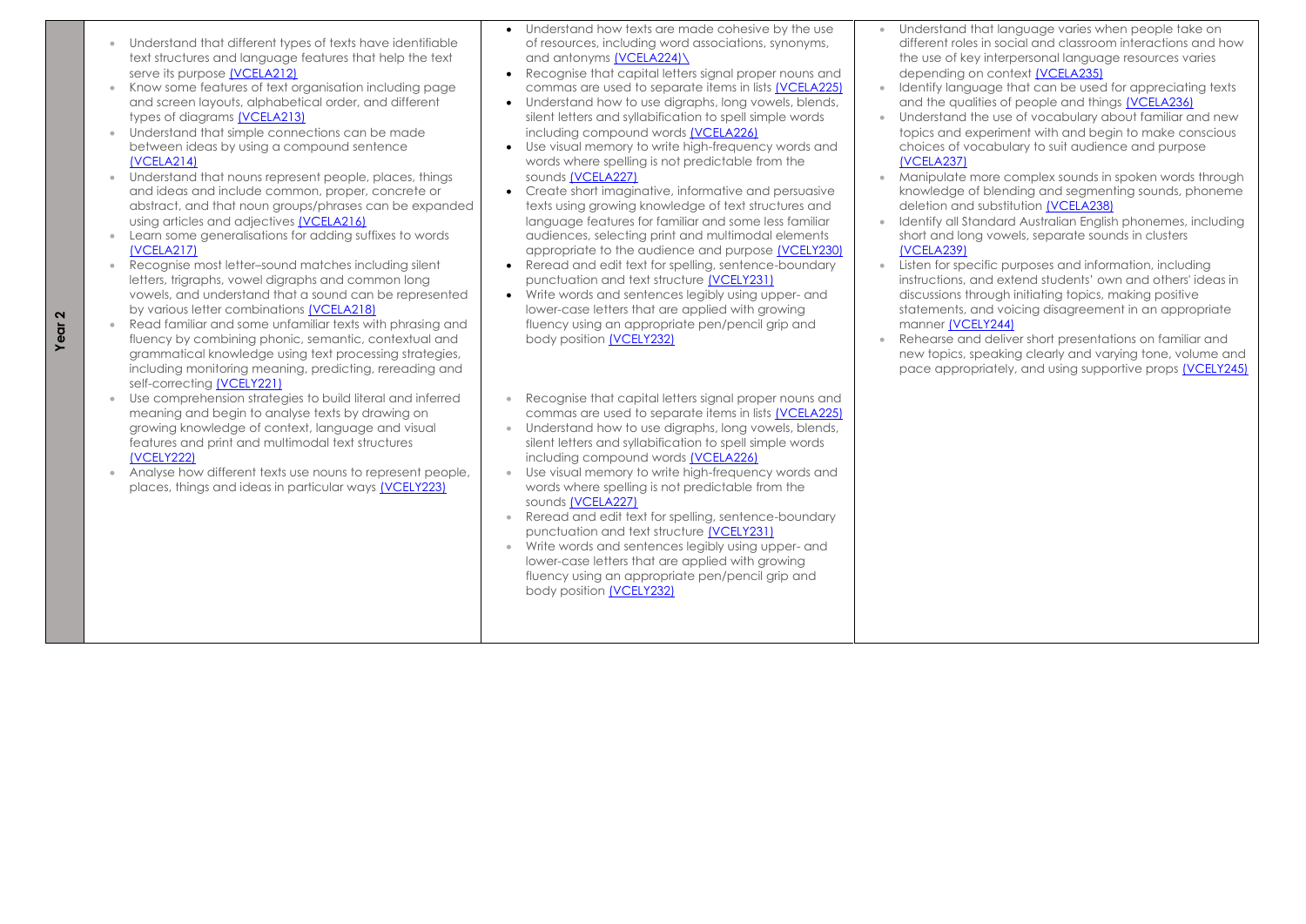- Understand that different types of texts have identifiable text structures and language features that help the text serve its purpose [\(VCELA212\)](https://victoriancurriculum.vcaa.vic.edu.au/Curriculum/ContentDescription/VCELA212)
- Know some features of text organisation including page and screen layouts, alphabetical order, and different types of diagrams [\(VCELA213\)](https://victoriancurriculum.vcaa.vic.edu.au/Curriculum/ContentDescription/VCELA213)
- Understand that simple connections can be made between ideas by using a compound sentence [\(VCELA214\)](https://victoriancurriculum.vcaa.vic.edu.au/Curriculum/ContentDescription/VCELA214)
- Understand that nouns represent people, places, things and ideas and include common, proper, concrete or abstract, and that noun groups/phrases can be expanded using articles and adjectives [\(VCELA216\)](https://victoriancurriculum.vcaa.vic.edu.au/Curriculum/ContentDescription/VCELA216)
- Learn some generalisations for adding suffixes to words [\(VCELA217\)](https://victoriancurriculum.vcaa.vic.edu.au/Curriculum/ContentDescription/VCELA217)
- Recognise most letter-sound matches including silent letters, trigraphs, vowel digraphs and common long vowels, and understand that a sound can be represented by various letter combinations [\(VCELA218\)](https://victoriancurriculum.vcaa.vic.edu.au/Curriculum/ContentDescription/VCELA218)
- Read familiar and some unfamiliar texts with phrasing and fluency by combining phonic, semantic, contextual and grammatical knowledge using text processing strategies, including monitoring meaning, predicting, rereading and self-correcting [\(VCELY221\)](https://victoriancurriculum.vcaa.vic.edu.au/Curriculum/ContentDescription/VCELY221)
- Use comprehension strategies to build literal and inferred meaning and begin to analyse texts by drawing on growing knowledge of context, language and visual features and print and multimodal text structures [\(VCELY222\)](https://victoriancurriculum.vcaa.vic.edu.au/Curriculum/ContentDescription/VCELY222)
- Analyse how different texts use nouns to represent people, places, things and ideas in particular ways [\(VCELY223\)](https://victoriancurriculum.vcaa.vic.edu.au/Curriculum/ContentDescription/VCELY223)
- Understand how texts are made cohesive by the use of resources, including word associations, synonyms, and antonyms [\(VCELA224\)\](https://victoriancurriculum.vcaa.vic.edu.au/Curriculum/ContentDescription/VCELA224)
- Recognise that capital letters signal proper nouns and commas are used to separate items in lists [\(VCELA225\)](https://victoriancurriculum.vcaa.vic.edu.au/Curriculum/ContentDescription/VCELA225)
- Understand how to use digraphs, long vowels, blends, silent letters and syllabification to spell simple words including compound words [\(VCELA226\)](https://victoriancurriculum.vcaa.vic.edu.au/Curriculum/ContentDescription/VCELA226)
- Use visual memory to write high-frequency words and words where spelling is not predictable from the sounds [\(VCELA227\)](https://victoriancurriculum.vcaa.vic.edu.au/Curriculum/ContentDescription/VCELA227)
- Create short imaginative, informative and persuasive texts using growing knowledge of text structures and language features for familiar and some less familiar audiences, selecting print and multimodal elements appropriate to the audience and purpose [\(VCELY230\)](https://victoriancurriculum.vcaa.vic.edu.au/Curriculum/ContentDescription/VCELY230)
- Reread and edit text for spelling, sentence-boundary punctuation and text structure [\(VCELY231\)](https://victoriancurriculum.vcaa.vic.edu.au/Curriculum/ContentDescription/VCELY231)
- Write words and sentences legibly using upper- and lower-case letters that are applied with growing fluency using an appropriate pen/pencil grip and body position [\(VCELY232\)](https://victoriancurriculum.vcaa.vic.edu.au/Curriculum/ContentDescription/VCELY232)
- Recognise that capital letters signal proper nouns and commas are used to separate items in lists [\(VCELA225\)](https://victoriancurriculum.vcaa.vic.edu.au/Curriculum/ContentDescription/VCELA225)
- Understand how to use digraphs, long vowels, blends, silent letters and syllabification to spell simple words including compound words [\(VCELA226\)](https://victoriancurriculum.vcaa.vic.edu.au/Curriculum/ContentDescription/VCELA226)
- Use visual memory to write high-frequency words and words where spelling is not predictable from the sounds [\(VCELA227\)](https://victoriancurriculum.vcaa.vic.edu.au/Curriculum/ContentDescription/VCELA227)
- Reread and edit text for spelling, sentence-boundary punctuation and text structure [\(VCELY231\)](https://victoriancurriculum.vcaa.vic.edu.au/Curriculum/ContentDescription/VCELY231)
- Write words and sentences legibly using upper- and lower-case letters that are applied with growing fluency using an appropriate pen/pencil grip and body position [\(VCELY232\)](https://victoriancurriculum.vcaa.vic.edu.au/Curriculum/ContentDescription/VCELY232)

• Understand that language varies when people take on different roles in social and classroom interactions and how the use of key interpersonal language resources varies depending on context [\(VCELA235\)](https://victoriancurriculum.vcaa.vic.edu.au/Curriculum/ContentDescription/VCELA235)

• Identify language that can be used for appreciating texts and the qualities of people and things [\(VCELA236\)](https://victoriancurriculum.vcaa.vic.edu.au/Curriculum/ContentDescription/VCELA236)

• Understand the use of vocabulary about familiar and new topics and experiment with and begin to make conscious choices of vocabulary to suit audience and purpose

• Manipulate more complex sounds in spoken words through knowledge of blending and segmenting sounds, phoneme deletion and substitution [\(VCELA238\)](https://victoriancurriculum.vcaa.vic.edu.au/Curriculum/ContentDescription/VCELA238)

• Identify all Standard Australian English phonemes, including short and long vowels, separate sounds in clusters

- 
- 
- [\(VCELA237\)](https://victoriancurriculum.vcaa.vic.edu.au/Curriculum/ContentDescription/VCELA237)
- 
- [\(VCELA239\)](https://victoriancurriculum.vcaa.vic.edu.au/Curriculum/ContentDescription/VCELA239)
- manner [\(VCELY244\)](https://victoriancurriculum.vcaa.vic.edu.au/Curriculum/ContentDescription/VCELY244)
- 

• Listen for specific purposes and information, including instructions, and extend students' own and others' ideas in discussions through initiating topics, making positive statements, and voicing disagreement in an appropriate

• Rehearse and deliver short presentations on familiar and new topics, speaking clearly and varying tone, volume and pace appropriately, and using supportive props [\(VCELY245\)](https://victoriancurriculum.vcaa.vic.edu.au/Curriculum/ContentDescription/VCELY245)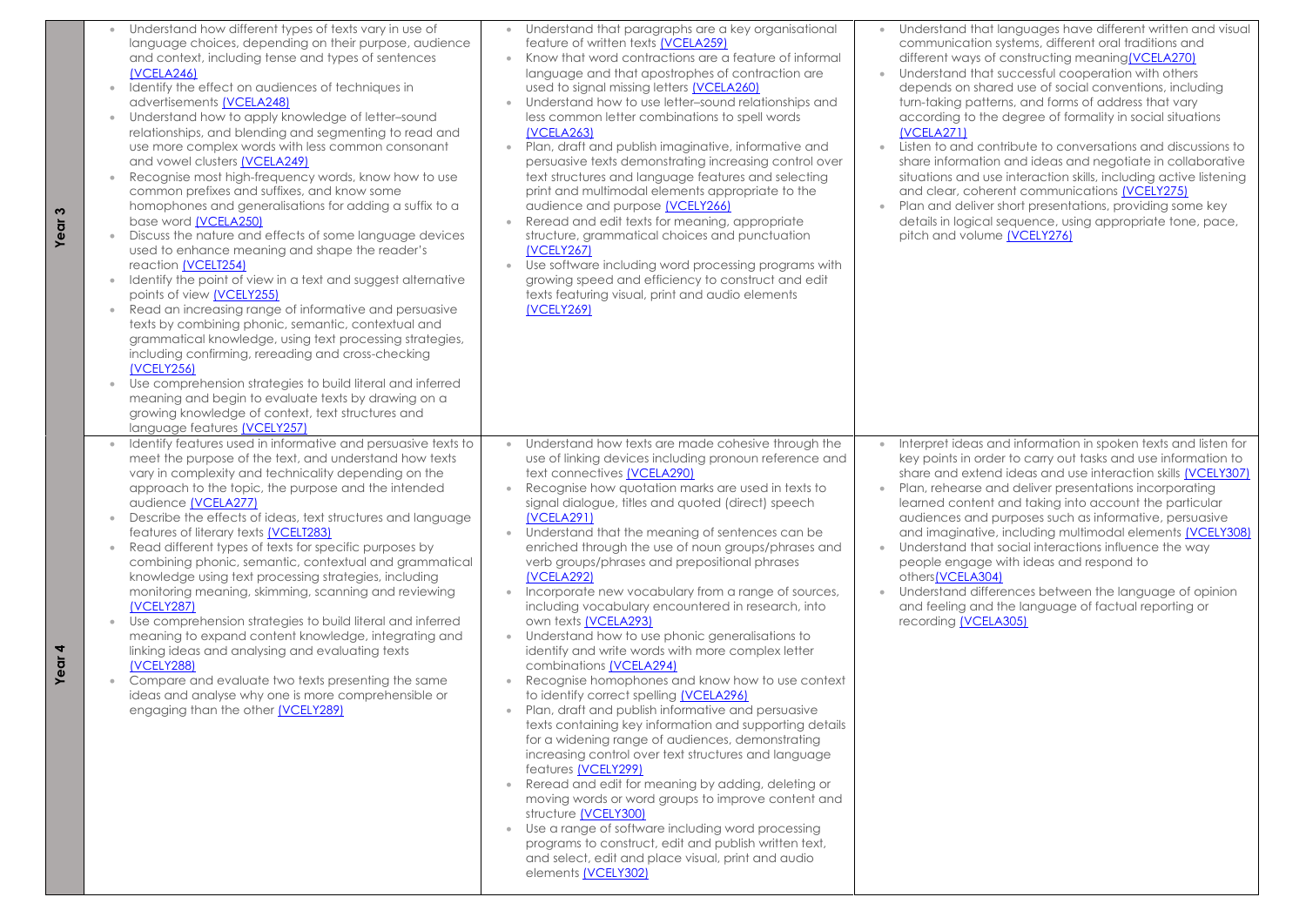**Year 3**

| $\bullet$<br>$\bullet$ | Understand how different types of texts vary in use of<br>language choices, depending on their purpose, audience<br>and context, including tense and types of sentences<br>(VCELA246)<br>Identify the effect on audiences of techniques in<br>advertisements (VCELA248)<br>Understand how to apply knowledge of letter-sound<br>relationships, and blending and segmenting to read and<br>use more complex words with less common consonant<br>and vowel clusters (VCELA249)<br>Recognise most high-frequency words, know how to use<br>common prefixes and suffixes, and know some<br>homophones and generalisations for adding a suffix to a<br>base word (VCELA250)<br>Discuss the nature and effects of some language devices<br>used to enhance meaning and shape the reader's<br>reaction (VCELT254)<br>Identify the point of view in a text and suggest alternative<br>points of view (VCELY255)<br>Read an increasing range of informative and persuasive<br>texts by combining phonic, semantic, contextual and<br>grammatical knowledge, using text processing strategies,<br>including confirming, rereading and cross-checking<br>(VCELY256)<br>Use comprehension strategies to build literal and inferred<br>meaning and begin to evaluate texts by drawing on a<br>growing knowledge of context, text structures and<br>language features (VCELY257)<br>Identify features used in informative and persuasive texts to | $\bullet$ | Understand that paragraphs are a key organisational<br>feature of written texts (VCELA259)<br>Know that word contractions are a feature of informal<br>language and that apostrophes of contraction are<br>used to signal missing letters (VCELA260)<br>Understand how to use letter-sound relationships and<br>less common letter combinations to spell words<br>(VCELA263)<br>Plan, draft and publish imaginative, informative and<br>persuasive texts demonstrating increasing control over<br>text structures and language features and selecting<br>print and multimodal elements appropriate to the<br>audience and purpose (VCELY266)<br>Reread and edit texts for meaning, appropriate<br>structure, grammatical choices and punctuation<br>(VCELY267)<br>Use software including word processing programs with<br>growing speed and efficiency to construct and edit<br>texts featuring visual, print and audio elements<br>(VCELY269)<br>Understand how texts are made cohesive through the                                                                                                                                                                                                                                                                                                                                               | $\bullet$ | Understand the<br>communicatio<br>different ways<br>Understand the<br>depends on sh<br>turn-taking pat<br>according to th<br>(VCELA271)<br>Listen to and c<br>share informati<br>situations and u<br>and clear, coh<br>Plan and delive<br>details in logica<br>pitch and volur<br>Interpret ideas |
|------------------------|-------------------------------------------------------------------------------------------------------------------------------------------------------------------------------------------------------------------------------------------------------------------------------------------------------------------------------------------------------------------------------------------------------------------------------------------------------------------------------------------------------------------------------------------------------------------------------------------------------------------------------------------------------------------------------------------------------------------------------------------------------------------------------------------------------------------------------------------------------------------------------------------------------------------------------------------------------------------------------------------------------------------------------------------------------------------------------------------------------------------------------------------------------------------------------------------------------------------------------------------------------------------------------------------------------------------------------------------------------------------------------------------------------------------------------------|-----------|----------------------------------------------------------------------------------------------------------------------------------------------------------------------------------------------------------------------------------------------------------------------------------------------------------------------------------------------------------------------------------------------------------------------------------------------------------------------------------------------------------------------------------------------------------------------------------------------------------------------------------------------------------------------------------------------------------------------------------------------------------------------------------------------------------------------------------------------------------------------------------------------------------------------------------------------------------------------------------------------------------------------------------------------------------------------------------------------------------------------------------------------------------------------------------------------------------------------------------------------------------------------------------------------------------------------------------------------------|-----------|---------------------------------------------------------------------------------------------------------------------------------------------------------------------------------------------------------------------------------------------------------------------------------------------------|
|                        | meet the purpose of the text, and understand how texts<br>vary in complexity and technicality depending on the<br>approach to the topic, the purpose and the intended<br>audience (VCELA277)<br>Describe the effects of ideas, text structures and language<br>features of literary texts (VCELT283)<br>Read different types of texts for specific purposes by<br>combining phonic, semantic, contextual and grammatical<br>knowledge using text processing strategies, including<br>monitoring meaning, skimming, scanning and reviewing<br>(VCELY287)<br>Use comprehension strategies to build literal and inferred<br>meaning to expand content knowledge, integrating and<br>linking ideas and analysing and evaluating texts<br>(VCELY288)<br>Compare and evaluate two texts presenting the same<br>ideas and analyse why one is more comprehensible or<br>engaging than the other (VCELY289)                                                                                                                                                                                                                                                                                                                                                                                                                                                                                                                                  |           | use of linking devices including pronoun reference and<br>text connectives (VCELA290)<br>Recognise how quotation marks are used in texts to<br>signal dialogue, titles and quoted (direct) speech<br>(VCELA291)<br>Understand that the meaning of sentences can be<br>enriched through the use of noun groups/phrases and<br>verb groups/phrases and prepositional phrases<br>(VCELA292)<br>Incorporate new vocabulary from a range of sources,<br>including vocabulary encountered in research, into<br>own texts (VCELA293)<br>Understand how to use phonic generalisations to<br>identify and write words with more complex letter<br>combinations (VCELA294)<br>Recognise homophones and know how to use context<br>to identify correct spelling (VCELA296)<br>Plan, draft and publish informative and persuasive<br>texts containing key information and supporting details<br>for a widening range of audiences, demonstrating<br>increasing control over text structures and language<br>features (VCELY299)<br>Reread and edit for meaning by adding, deleting or<br>moving words or word groups to improve content and<br>structure (VCELY300)<br>Use a range of software including word processing<br>programs to construct, edit and publish written text,<br>and select, edit and place visual, print and audio<br>elements (VCELY302) |           | key points in or<br>share and exte<br>Plan, rehearse<br>learned conter<br>audiences and<br>and imaginativ<br>Understand the<br>people engage<br>others(VCELA3<br>Understand dift<br>and feeling an<br>recording <b>[VCE</b>                                                                       |

**Year 4**

at languages have different written and visual on systems, different oral traditions and of constructing meanin[g\(VCELA270\)](https://victoriancurriculum.vcaa.vic.edu.au/Curriculum/ContentDescription/VCELA270) at successful cooperation with others nared use of social conventions, including tterns, and forms of address that vary he degree of formality in social situations

entribute to conversations and discussions to ion and ideas and negotiate in collaborative use interaction skills, including active listening nerent communications [\(VCELY275\)](https://victoriancurriculum.vcaa.vic.edu.au/Curriculum/ContentDescription/VCELY275) er short presentations, providing some key al sequence, using appropriate tone, pace, me [\(VCELY276\)](https://victoriancurriculum.vcaa.vic.edu.au/Curriculum/ContentDescription/VCELY276)

is and information in spoken texts and listen for rder to carry out tasks and use information to end ideas and use interaction skills [\(VCELY307\)](https://victoriancurriculum.vcaa.vic.edu.au/Curriculum/ContentDescription/VCELY307) and deliver presentations incorporating Int and taking into account the particular I purposes such as informative, persuasive ve, including multimodal elements [\(VCELY308\)](https://victoriancurriculum.vcaa.vic.edu.au/Curriculum/ContentDescription/VCELY308) at social interactions influence the way je with ideas and respond to 804)

ferences between the language of opinion and the language of factual reporting or ELA305)